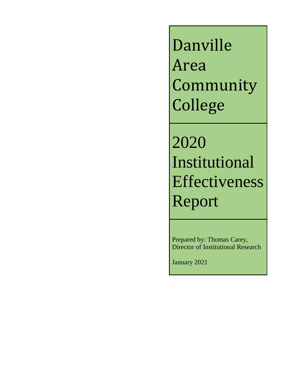Danville Area **Community** College

2020 Institutional Effectiveness Report

Prepared by: Thomas Carey, Director of Institutional Research

January 2021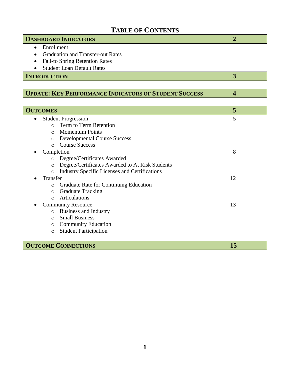# **TABLE OF CONTENTS**

| <b>DASHBOARD INDICATORS</b>                                     | $\overline{2}$          |
|-----------------------------------------------------------------|-------------------------|
| Enrollment<br>$\bullet$                                         |                         |
| <b>Graduation and Transfer-out Rates</b><br>$\bullet$           |                         |
| <b>Fall-to Spring Retention Rates</b>                           |                         |
| <b>Student Loan Default Rates</b>                               |                         |
| <b>INTRODUCTION</b>                                             | 3                       |
|                                                                 |                         |
| <b>UPDATE: KEY PERFORMANCE INDICATORS OF STUDENT SUCCESS</b>    | $\overline{\mathbf{4}}$ |
|                                                                 |                         |
| <b>OUTCOMES</b>                                                 | 5                       |
| <b>Student Progression</b><br>$\bullet$                         | 5                       |
| Term to Term Retention<br>$\bigcap$                             |                         |
| <b>Momentum Points</b><br>$\bigcirc$                            |                         |
| <b>Developmental Course Success</b><br>$\circ$                  |                         |
| <b>Course Success</b><br>$\Omega$                               |                         |
| Completion                                                      | 8                       |
| Degree/Certificates Awarded<br>$\circ$                          |                         |
| Degree/Certificates Awarded to At Risk Students<br>O            |                         |
| <b>Industry Specific Licenses and Certifications</b><br>$\circ$ |                         |
| Transfer                                                        | 12                      |
| Graduate Rate for Continuing Education<br>$\circ$               |                         |
| <b>Graduate Tracking</b><br>$\circ$                             |                         |
| Articulations<br>$\bigcirc$                                     |                         |
| <b>Community Resource</b>                                       | 13                      |
| <b>Business and Industry</b><br>$\circ$                         |                         |
| <b>Small Business</b><br>$\bigcirc$                             |                         |
| <b>Community Education</b><br>O                                 |                         |
| <b>Student Participation</b><br>$\circ$                         |                         |
|                                                                 |                         |

**COUTCOME CONNECTIONS 15**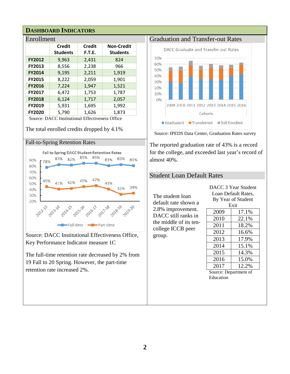### **DASHBOARD INDICATORS**

| Enrollment    |                 |        |                   |  |  |  |  |  |  |  |
|---------------|-----------------|--------|-------------------|--|--|--|--|--|--|--|
|               | <b>Credit</b>   | Credit | <b>Non-Credit</b> |  |  |  |  |  |  |  |
|               | <b>Students</b> | F.T.E. | <b>Students</b>   |  |  |  |  |  |  |  |
| <b>FY2012</b> | 9,963           | 2,431  | 824               |  |  |  |  |  |  |  |
| FY2013        | 8,556           | 2,238  | 966               |  |  |  |  |  |  |  |
| <b>FY2014</b> | 9,195           | 2,211  | 1,919             |  |  |  |  |  |  |  |
| <b>FY2015</b> | 8,222           | 2,059  | 1,901             |  |  |  |  |  |  |  |
| <b>FY2016</b> | 7,224           | 1,947  | 1,521             |  |  |  |  |  |  |  |
| <b>FY2017</b> | 6,472           | 1,753  | 1,787             |  |  |  |  |  |  |  |
| <b>FY2018</b> | 6,124           | 1,717  | 2,057             |  |  |  |  |  |  |  |
| <b>FY2019</b> | 5,931           | 1,695  | 1,992             |  |  |  |  |  |  |  |
| <b>FY2020</b> | 5,790           | 1,626  | 1,873             |  |  |  |  |  |  |  |

Source: DACC Institutional Effectiveness Office

The total enrolled credits dropped by 4.1%

#### Fall-to-Spring Retention Rates



Source: DACC Institutional Effectiveness Office, Key Performance Indicator measure 1C

The full-time retention rate decreased by 2% from 19 Fall to 20 Spring. However, the part-time retention rate increased 2%.

#### Graduation and Transfer-out Rates



Source: IPEDS Data Center, Graduation Rates survey

The reported graduation rate of 43% is a record for the college, and exceeded last year's record of almost 40%.

### Student Loan Default Rates

The student loan default rate shown a 2.8% improvement. DACC still ranks in the middle of its tencollege ICCB peer group.

|                     | DACC 3 Year Student |  |  |  |  |  |
|---------------------|---------------------|--|--|--|--|--|
| Loan Default Rates, |                     |  |  |  |  |  |
| By Year of Student  |                     |  |  |  |  |  |
| Exit                |                     |  |  |  |  |  |
| 2009                | 17.1%               |  |  |  |  |  |

| ZUUY | $1/1.1\%$ |
|------|-----------|
| 2010 | 22.1%     |
| 2011 | 18.2%     |
| 2012 | 16.6%     |
| 2013 | 17.9%     |
| 2014 | 15.1%     |
| 2015 | 14.3%     |
| 2016 | 15.0%     |
| 2017 | 12.2%     |

Source: Department of Education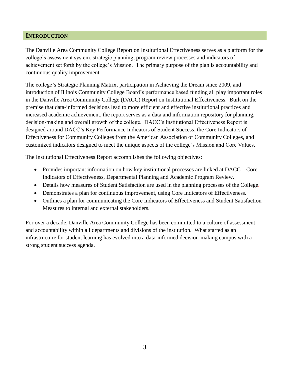### **INTRODUCTION**

The Danville Area Community College Report on Institutional Effectiveness serves as a platform for the college's assessment system, strategic planning, program review processes and indicators of achievement set forth by the college's Mission. The primary purpose of the plan is accountability and continuous quality improvement.

The college's Strategic Planning Matrix, participation in Achieving the Dream since 2009, and introduction of Illinois Community College Board's performance based funding all play important roles in the Danville Area Community College (DACC) Report on Institutional Effectiveness. Built on the premise that data-informed decisions lead to more efficient and effective institutional practices and increased academic achievement, the report serves as a data and information repository for planning, decision-making and overall growth of the college. DACC's Institutional Effectiveness Report is designed around DACC's Key Performance Indicators of Student Success, the Core Indicators of Effectiveness for Community Colleges from the American Association of Community Colleges, and customized indicators designed to meet the unique aspects of the college's Mission and Core Values.

The Institutional Effectiveness Report accomplishes the following objectives:

- Provides important information on how key institutional processes are linked at DACC Core Indicators of Effectiveness, Departmental Planning and Academic Program Review.
- Details how measures of Student Satisfaction are used in the planning processes of the College.
- Demonstrates a plan for continuous improvement, using Core Indicators of Effectiveness.
- Outlines a plan for communicating the Core Indicators of Effectiveness and Student Satisfaction Measures to internal and external stakeholders.

For over a decade, Danville Area Community College has been committed to a culture of assessment and accountability within all departments and divisions of the institution. What started as an infrastructure for student learning has evolved into a data-informed decision-making campus with a strong student success agenda.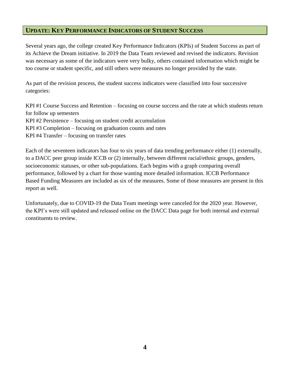### **UPDATE: KEY PERFORMANCE INDICATORS OF STUDENT SUCCESS**

Several years ago, the college created Key Performance Indicators (KPIs) of Student Success as part of its Achieve the Dream initiative. In 2019 the Data Team reviewed and revised the indicators. Revision was necessary as some of the indicators were very bulky, others contained information which might be too course or student specific, and still others were measures no longer provided by the state.

As part of the revision process, the student success indicators were classified into four successive categories:

KPI #1 Course Success and Retention – focusing on course success and the rate at which students return for follow up semesters KPI #2 Persistence – focusing on student credit accumulation KPI #3 Completion – focusing on graduation counts and rates KPI #4 Transfer – focusing on transfer rates

Each of the seventeen indicators has four to six years of data trending performance either (1) externally, to a DACC peer group inside ICCB or (2) internally, between different racial/ethnic groups, genders, socioeconomic statuses, or other sub-populations. Each begins with a graph comparing overall performance, followed by a chart for those wanting more detailed information. ICCB Performance Based Funding Measures are included as six of the measures. Some of those measures are present in this report as well.

Unfortunately, due to COVID-19 the Data Team meetings were canceled for the 2020 year. However, the KPI's were still updated and released online on the DACC Data page for both internal and external constituents to review.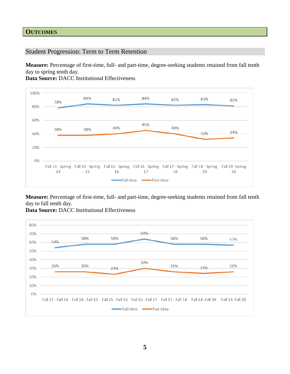### **OUTCOMES**

Student Progression: Term to Term Retention

**Measure:** Percentage of first-time, full- and part-time, degree-seeking students retained from fall tenth day to spring tenth day.

**Data Source:** DACC Institutional Effectiveness



**Measure:** Percentage of first-time, full- and part-time, degree-seeking students retained from fall tenth day to fall tenth day.



**Data Source:** DACC Institutional Effectiveness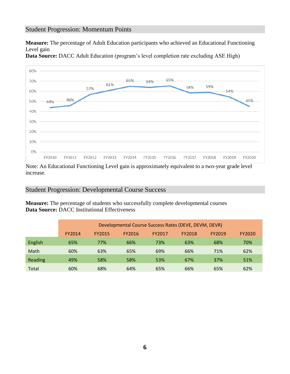### Student Progression: Momentum Points

**Measure:** The percentage of Adult Education participants who achieved an Educational Functioning Level gain



**Data Source:** DACC Adult Education (program's level completion rate excluding ASE High)

Note: An Educational Functioning Level gain is approximately equivalent to a two-year grade level increase.

#### Student Progression: Developmental Course Success

**Measure:** The percentage of students who successfully complete developmental courses **Data Source:** DACC Institutional Effectiveness

|         | Developmental Course Success Rates (DEVE, DEVM, DEVR) |               |        |        |        |        |        |  |  |  |  |
|---------|-------------------------------------------------------|---------------|--------|--------|--------|--------|--------|--|--|--|--|
|         | FY2014                                                | <b>FY2015</b> | FY2016 | FY2017 | FY2018 | FY2019 | FY2020 |  |  |  |  |
| English | 65%                                                   | 77%           | 66%    | 73%    | 63%    | 68%    | 70%    |  |  |  |  |
| Math    | 60%                                                   | 63%           | 65%    | 69%    | 66%    | 71%    | 62%    |  |  |  |  |
| Reading | 49%                                                   | 58%           | 58%    | 53%    | 67%    | 37%    | 51%    |  |  |  |  |
| Total   | 60%                                                   | 68%           | 64%    | 65%    | 66%    | 65%    | 62%    |  |  |  |  |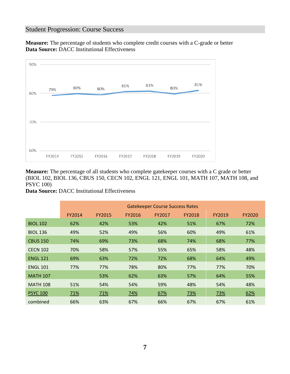### Student Progression: Course Success

**Measure:** The percentage of students who complete credit courses with a C-grade or better **Data Source:** DACC Institutional Effectiveness



**Measure:** The percentage of all students who complete gatekeeper courses with a C grade or better (BIOL 102, BIOL 136, CBUS 150, CECN 102, ENGL 121, ENGL 101, MATH 107, MATH 108, and PSYC 100)

**Data Source:** DACC Institutional Effectiveness

|                 | <b>Gatekeeper Course Success Rates</b> |        |        |        |        |        |        |  |  |  |
|-----------------|----------------------------------------|--------|--------|--------|--------|--------|--------|--|--|--|
|                 | FY2014                                 | FY2015 | FY2016 | FY2017 | FY2018 | FY2019 | FY2020 |  |  |  |
| <b>BIOL 102</b> | 62%                                    | 42%    | 53%    | 42%    | 51%    | 67%    | 72%    |  |  |  |
| <b>BIOL 136</b> | 49%                                    | 52%    | 49%    | 56%    | 60%    | 49%    | 61%    |  |  |  |
| <b>CBUS 150</b> | 74%                                    | 69%    | 73%    | 68%    | 74%    | 68%    | 77%    |  |  |  |
| <b>CECN 102</b> | 70%                                    | 58%    | 57%    | 55%    | 65%    | 58%    | 48%    |  |  |  |
| <b>ENGL 121</b> | 69%                                    | 63%    | 72%    | 72%    | 68%    | 64%    | 49%    |  |  |  |
| <b>ENGL 101</b> | 77%                                    | 77%    | 78%    | 80%    | 77%    | 77%    | 70%    |  |  |  |
| <b>MATH 107</b> |                                        | 53%    | 62%    | 63%    | 57%    | 64%    | 55%    |  |  |  |
| <b>MATH 108</b> | 51%                                    | 54%    | 54%    | 59%    | 48%    | 54%    | 48%    |  |  |  |
| <b>PSYC 100</b> | 71%                                    | 71%    | 74%    | 67%    | 73%    | 73%    | 62%    |  |  |  |
| combined        | 66%                                    | 63%    | 67%    | 66%    | 67%    | 67%    | 61%    |  |  |  |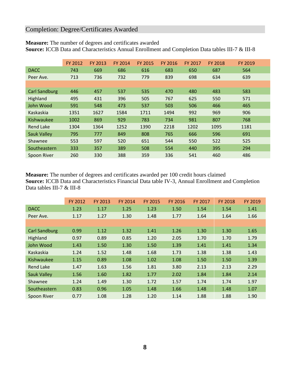## Completion: Degree/Certificates Awarded

|  |  |  | <b>Measure:</b> The number of degrees and certificates awarded |  |
|--|--|--|----------------------------------------------------------------|--|
|--|--|--|----------------------------------------------------------------|--|

**Source:** ICCB Data and Characteristics Annual Enrollment and Completion Data tables III-7 & III-8

|                      | FY 2012 | FY 2013 | <b>FY 2014</b> | <b>FY 2015</b> | <b>FY 2016</b> | <b>FY 2017</b> | <b>FY 2018</b> | FY 2019 |
|----------------------|---------|---------|----------------|----------------|----------------|----------------|----------------|---------|
| <b>DACC</b>          | 743     | 669     | 686            | 616            | 683            | 650            | 687            | 564     |
| Peer Ave.            | 713     | 736     | 732            | 779            | 839            | 698            | 634            | 639     |
|                      |         |         |                |                |                |                |                |         |
| <b>Carl Sandburg</b> | 446     | 457     | 537            | 535            | 470            | 480            | 483            | 583     |
| Highland             | 495     | 431     | 396            | 505            | 767            | 625            | 550            | 571     |
| John Wood            | 591     | 548     | 473            | 537            | 503            | 506            | 466            | 465     |
| Kaskaskia            | 1351    | 1627    | 1584           | 1711           | 1494           | 992            | 969            | 906     |
| Kishwaukee           | 1002    | 869     | 929            | 783            | 734            | 981            | 807            | 768     |
| <b>Rend Lake</b>     | 1304    | 1364    | 1252           | 1390           | 2218           | 1202           | 1095           | 1181    |
| <b>Sauk Valley</b>   | 795     | 777     | 849            | 808            | 765            | 666            | 596            | 691     |
| Shawnee              | 553     | 597     | 520            | 651            | 544            | 550            | 522            | 525     |
| Southeastern         | 333     | 357     | 389            | 508            | 554            | 440            | 395            | 294     |
| Spoon River          | 260     | 330     | 388            | 359            | 336            | 541            | 460            | 486     |

**Measure:** The number of degrees and certificates awarded per 100 credit hours claimed **Source:** ICCB Data and Characteristics Financial Data table IV-3, Annual Enrollment and Completion Data tables III-7 & III-8

|                      | FY 2012 | FY 2013 | FY 2014 | FY 2015 | FY 2016 | FY 2017 | <b>FY 2018</b> | FY 2019 |
|----------------------|---------|---------|---------|---------|---------|---------|----------------|---------|
| <b>DACC</b>          | 1.23    | 1.17    | 1.25    | 1.23    | 1.50    | 1.54    | 1.54           | 1.41    |
| Peer Ave.            | 1.17    | 1.27    | 1.30    | 1.48    | 1.77    | 1.64    | 1.64           | 1.66    |
|                      |         |         |         |         |         |         |                |         |
| <b>Carl Sandburg</b> | 0.99    | 1.12    | 1.32    | 1.41    | 1.26    | 1.30    | 1.30           | 1.65    |
| Highland             | 0.97    | 0.89    | 0.85    | 1.20    | 2.05    | 1.70    | 1.70           | 1.79    |
| John Wood            | 1.43    | 1.50    | 1.30    | 1.50    | 1.39    | 1.41    | 1.41           | 1.34    |
| Kaskaskia            | 1.24    | 1.52    | 1.48    | 1.68    | 1.73    | 1.38    | 1.38           | 1.43    |
| Kishwaukee           | 1.15    | 0.89    | 1.08    | 1.02    | 1.08    | 1.50    | 1.50           | 1.39    |
| <b>Rend Lake</b>     | 1.47    | 1.63    | 1.56    | 1.81    | 3.80    | 2.13    | 2.13           | 2.29    |
| <b>Sauk Valley</b>   | 1.56    | 1.60    | 1.82    | 1.77    | 2.02    | 1.84    | 1.84           | 2.14    |
| Shawnee              | 1.24    | 1.49    | 1.30    | 1.72    | 1.57    | 1.74    | 1.74           | 1.97    |
| Southeastern         | 0.83    | 0.96    | 1.05    | 1.48    | 1.66    | 1.48    | 1.48           | 1.07    |
| <b>Spoon River</b>   | 0.77    | 1.08    | 1.28    | 1.20    | 1.14    | 1.88    | 1.88           | 1.90    |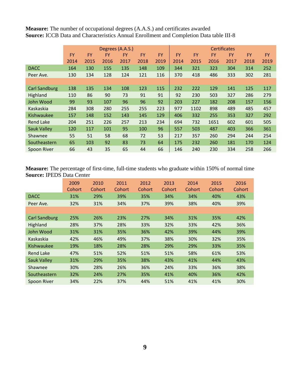**Measure:** The number of occupational degrees (A.A.S.) and certificates awarded **Source:** ICCB Data and Characteristics Annual Enrollment and Completion Data table III-8

|                      |           | Degrees (A.A.S.) |      |           |           |           |           |           | <b>Certificates</b> |           |           |           |
|----------------------|-----------|------------------|------|-----------|-----------|-----------|-----------|-----------|---------------------|-----------|-----------|-----------|
|                      | <b>FY</b> | <b>FY</b>        | FY   | <b>FY</b> | <b>FY</b> | <b>FY</b> | <b>FY</b> | <b>FY</b> | <b>FY</b>           | <b>FY</b> | <b>FY</b> | <b>FY</b> |
|                      | 2014      | 2015             | 2016 | 2017      | 2018      | 2019      | 2014      | 2015      | 2016                | 2017      | 2018      | 2019      |
| <b>DACC</b>          | 164       | 130              | 155  | 135       | 148       | 109       | 344       | 321       | 323                 | 304       | 314       | 252       |
| Peer Ave.            | 130       | 134              | 128  | 124       | 121       | 116       | 370       | 418       | 486                 | 333       | 302       | 281       |
|                      |           |                  |      |           |           |           |           |           |                     |           |           |           |
| <b>Carl Sandburg</b> | 138       | 135              | 134  | 108       | 123       | 115       | 232       | 222       | 129                 | 141       | 125       | 117       |
| Highland             | 110       | 86               | 90   | 73        | 91        | 91        | 92        | 230       | 503                 | 327       | 286       | 279       |
| <b>John Wood</b>     | 99        | 93               | 107  | 96        | 96        | 92        | 203       | 227       | 182                 | 208       | 157       | 156       |
| Kaskaskia            | 284       | 308              | 280  | 255       | 255       | 223       | 977       | 1102      | 898                 | 489       | 485       | 457       |
| Kishwaukee           | 157       | 148              | 152  | 143       | 145       | 129       | 406       | 332       | 255                 | 353       | 327       | 292       |
| <b>Rend Lake</b>     | 204       | 251              | 226  | 257       | 213       | 234       | 694       | 732       | 1651                | 602       | 601       | 505       |
| <b>Sauk Valley</b>   | 120       | 117              | 101  | 95        | 100       | 96        | 557       | 503       | 487                 | 403       | 366       | 361       |
| Shawnee              | 55        | 51               | 58   | 68        | 72        | 53        | 217       | 357       | 260                 | 294       | 244       | 254       |
| Southeastern         | 65        | 103              | 92   | 83        | 73        | 64        | 175       | 232       | 260                 | 181       | 170       | 124       |
| <b>Spoon River</b>   | 66        | 43               | 35   | 65        | 44        | 66        | 146       | 240       | 230                 | 334       | 258       | 266       |

**Measure:** The percentage of first-time, full-time students who graduate within 150% of normal time **Source:** IPEDS Data Center

|                      | 2009<br>Cohort | 2010<br>Cohort | 2011<br>Cohort | 2012<br>Cohort | 2013<br>Cohort | 2014<br>Cohort | 2015<br>Cohort | 2016<br>Cohort |
|----------------------|----------------|----------------|----------------|----------------|----------------|----------------|----------------|----------------|
| <b>DACC</b>          | 31%            | 29%            | 39%            | 35%            | 34%            | 34%            | 40%            | 43%            |
| Peer Ave.            | 32%            | 31%            | 34%            | 37%            | 39%            | 38%            | 40%            | 39%            |
|                      |                |                |                |                |                |                |                |                |
| <b>Carl Sandburg</b> | 25%            | 26%            | 23%            | 27%            | 34%            | 31%            | 35%            | 42%            |
| Highland             | 28%            | 37%            | 28%            | 33%            | 32%            | 33%            | 42%            | 36%            |
| John Wood            | 31%            | 31%            | 35%            | 36%            | 42%            | 39%            | 44%            | 39%            |
| Kaskaskia            | 42%            | 46%            | 49%            | 37%            | 38%            | 30%            | 32%            | 35%            |
| Kishwaukee           | 19%            | 18%            | 28%            | 28%            | 29%            | 29%            | 33%            | 35%            |
| <b>Rend Lake</b>     | 47%            | 51%            | 52%            | 51%            | 51%            | 58%            | 61%            | 53%            |
| <b>Sauk Valley</b>   | 31%            | 29%            | 35%            | 38%            | 43%            | 41%            | 44%            | 43%            |
| Shawnee              | 30%            | 28%            | 26%            | 36%            | 24%            | 33%            | 36%            | 38%            |
| Southeastern         | 32%            | 24%            | 27%            | 35%            | 41%            | 40%            | 36%            | 42%            |
| <b>Spoon River</b>   | 34%            | 22%            | 37%            | 44%            | 51%            | 41%            | 41%            | 30%            |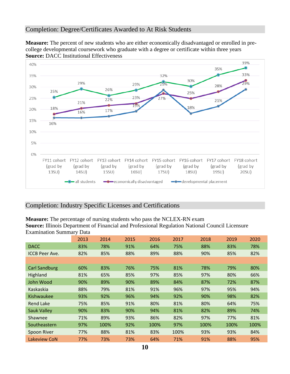### Completion: Degree/Certificates Awarded to At Risk Students

**Measure:** The percent of new students who are either economically disadvantaged or enrolled in precollege developmental coursework who graduate with a degree or certificate within three years **Source: DACC Institutional Effectiveness** 



### Completion: Industry Specific Licenses and Certifications

**Measure:** The percentage of nursing students who pass the NCLEX-RN exam

**Source:** Illinois Department of Financial and Professional Regulation National Council Licensure Examination Summary Data

|                       | 2013 | 2014 | 2015 | 2016 | 2017 | 2018 | 2019 | 2020 |
|-----------------------|------|------|------|------|------|------|------|------|
| <b>DACC</b>           | 83%  | 78%  | 91%  | 64%  | 75%  | 88%  | 83%  | 78%  |
| <b>ICCB Peer Ave.</b> | 82%  | 85%  | 88%  | 89%  | 88%  | 90%  | 85%  | 82%  |
|                       |      |      |      |      |      |      |      |      |
| <b>Carl Sandburg</b>  | 60%  | 83%  | 76%  | 75%  | 81%  | 78%  | 79%  | 80%  |
| Highland              | 81%  | 65%  | 85%  | 97%  | 85%  | 97%  | 80%  | 66%  |
| John Wood             | 90%  | 89%  | 90%  | 89%  | 84%  | 87%  | 72%  | 87%  |
| Kaskaskia             | 88%  | 79%  | 81%  | 91%  | 96%  | 97%  | 95%  | 94%  |
| <b>Kishwaukee</b>     | 93%  | 92%  | 96%  | 94%  | 92%  | 90%  | 98%  | 82%  |
| <b>Rend Lake</b>      | 75%  | 85%  | 91%  | 80%  | 81%  | 80%  | 64%  | 75%  |
| <b>Sauk Valley</b>    | 90%  | 83%  | 90%  | 94%  | 81%  | 82%  | 89%  | 74%  |
| Shawnee               | 71%  | 89%  | 93%  | 86%  | 82%  | 97%  | 77%  | 81%  |
| Southeastern          | 97%  | 100% | 92%  | 100% | 97%  | 100% | 100% | 100% |
| Spoon River           | 77%  | 88%  | 81%  | 83%  | 100% | 93%  | 93%  | 84%  |
| Lakeview CoN          | 77%  | 73%  | 73%  | 64%  | 71%  | 91%  | 88%  | 95%  |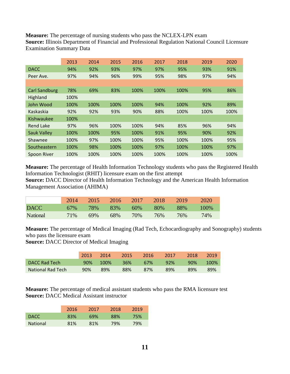**Measure:** The percentage of nursing students who pass the NCLEX-LPN exam **Source:** Illinois Department of Financial and Professional Regulation National Council Licensure Examination Summary Data

|                      | 2013 | 2014 | 2015 | 2016 | 2017 | 2018 | 2019 | 2020 |
|----------------------|------|------|------|------|------|------|------|------|
| <b>DACC</b>          | 94%  | 92%  | 93%  | 97%  | 97%  | 95%  | 93%  | 91%  |
| Peer Ave.            | 97%  | 94%  | 96%  | 99%  | 95%  | 98%  | 97%  | 94%  |
|                      |      |      |      |      |      |      |      |      |
| <b>Carl Sandburg</b> | 78%  | 69%  | 83%  | 100% | 100% | 100% | 95%  | 86%  |
| Highland             | 100% |      |      |      |      |      |      |      |
| John Wood            | 100% | 100% | 100% | 100% | 94%  | 100% | 92%  | 89%  |
| Kaskaskia            | 92%  | 92%  | 93%  | 90%  | 88%  | 100% | 100% | 100% |
| Kishwaukee           | 100% |      |      |      |      |      |      |      |
| <b>Rend Lake</b>     | 97%  | 96%  | 100% | 100% | 94%  | 85%  | 96%  | 94%  |
| <b>Sauk Valley</b>   | 100% | 100% | 95%  | 100% | 91%  | 95%  | 90%  | 92%  |
| Shawnee              | 100% | 97%  | 100% | 100% | 95%  | 100% | 100% | 95%  |
| Southeastern         | 100% | 98%  | 100% | 100% | 97%  | 100% | 100% | 97%  |
| Spoon River          | 100% | 100% | 100% | 100% | 100% | 100% | 100% | 100% |
|                      |      |      |      |      |      |      |      |      |

**Measure:** The percentage of Health Information Technology students who pass the Registered Health Information Technologist (RHIT) licensure exam on the first attempt

**Source:** DACC Director of Health Information Technology and the American Health Information Management Association (AHIMA)

|             | 20147 | $-2015$ |     |     | 2016 2017 2018 | $\sqrt{2019}$ | 2020    |
|-------------|-------|---------|-----|-----|----------------|---------------|---------|
| <b>DACC</b> | 67%   | 78% 83% |     | 60% | - 80%          | 88%           | $100\%$ |
| National    | 71%   | 69%     | 68% | 70% | 76%            | 76%           | 74%     |

**Measure:** The percentage of Medical Imaging (Rad Tech, Echocardiography and Sonography) students who pass the licensure exam

**Source:** DACC Director of Medical Imaging

|                          | 2013 | 2014     | 2015 | -2016 | 2017 | 2018 | 2019 |
|--------------------------|------|----------|------|-------|------|------|------|
| DACC Rad Tech            | 90%  | $-100\%$ | 36%  | 67%   | 92%  | 90%  | 100% |
| <b>National Rad Tech</b> | 90%  | 89%      | 88%  | 87%   | 89%  | 89%  | 89%  |

**Measure:** The percentage of medical assistant students who pass the RMA licensure test **Source:** DACC Medical Assistant instructor

|                 | 2016 | 2017 | 2018 | 2019 |
|-----------------|------|------|------|------|
| DACC.           | 83%  | 69%  | 88%  | 75%  |
| <b>National</b> | 81%  | 81%  | 79%  | 79%  |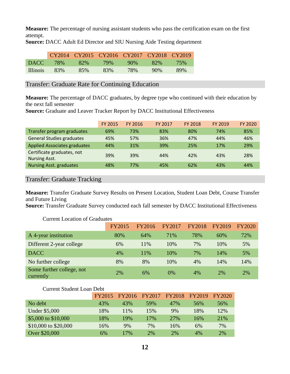**Measure:** The percentage of nursing assistant students who pass the certification exam on the first attempt.

|                   | CY2014 CY2015 CY2016 CY2017 CY2018 CY2019 |     |     |        |                 |     |
|-------------------|-------------------------------------------|-----|-----|--------|-----------------|-----|
| DACC <sup>1</sup> | $-78%$                                    | 82% | 79% | $90\%$ | 82 <sup>%</sup> | 75% |
| <b>Illinois</b>   | 83%                                       | 85% | 83% | 78%    | $90\%$          | 89% |

**Source:** DACC Adult Ed Director and SIU Nursing Aide Testing department

Transfer: Graduate Rate for Continuing Education

**Measure:** The percentage of DACC graduates, by degree type who continued with their education by the next fall semester

**Source:** Graduate and Leaver Tracker Report by DACC Institutional Effectiveness

|                                                    | <b>FY 2015</b> | FY 2016 | FY 2017 | <b>FY 2018</b> | FY 2019 | FY 2020 |
|----------------------------------------------------|----------------|---------|---------|----------------|---------|---------|
| Transfer program graduates                         | 69%            | 73%     | 83%     | 80%            | 74%     | 85%     |
| <b>General Studies graduates</b>                   | 45%            | 57%     | 36%     | 47%            | 44%     | 46%     |
| <b>Applied Associates graduates</b>                | 44%            | 31%     | 39%     | 25%            | 17%     | 29%     |
| Certificate graduates, not<br><b>Nursing Asst.</b> | 39%            | 39%     | 44%     | 42%            | 43%     | 28%     |
| <b>Nursing Asst. graduates</b>                     | 48%            | 77%     | 45%     | 62%            | 43%     | 44%     |

Transfer: Graduate Tracking

**Measure:** Transfer Graduate Survey Results on Present Location, Student Loan Debt, Course Transfer and Future Living

**Source:** Transfer Graduate Survey conducted each fall semester by DACC Institutional Effectiveness

|                                        | <b>FY2015</b> | FY2016 | FY2017 | <b>FY2018</b> | FY2019 | <b>FY2020</b> |
|----------------------------------------|---------------|--------|--------|---------------|--------|---------------|
| A 4-year institution                   | 80%           | 64%    | 71%    | 78%           | 60%    | 72%           |
| Different 2-year college               | 6%            | 11%    | 10%    | 7%            | 10%    | 5%            |
| <b>DACC</b>                            | 4%            | 11%    | 10%    | 7%            | 14%    | 5%            |
| No further college                     | 8%            | 8%     | 10%    | 4%            | 14%    | 14%           |
| Some further college, not<br>currently | 2%            | 6%     | $0\%$  | 4%            | 2%     | 2%            |

Current Location of Graduates

### Current Student Loan Debt

|                      | <b>FY2015</b> | FY2016 | FY2017 | <b>FY2018</b> | FY2019 | FY2020 |
|----------------------|---------------|--------|--------|---------------|--------|--------|
| No debt              | 43%           | 43%    | 59%    | 47%           | 56%    | 56%    |
| <b>Under \$5,000</b> | 18%           | 11\%   | 15%    | 9%            | 18%    | 12%    |
| \$5,000 to \$10,000  | 18%           | 19%    | 17%    | <b>27%</b>    | 16%    | 21%    |
| \$10,000 to \$20,000 | 16%           | 9%     | 7%     | 16%           | 6%     | 7%     |
| Over \$20,000        | 6%            | 17%    | 2%     | 2%            | 4%     | 2%     |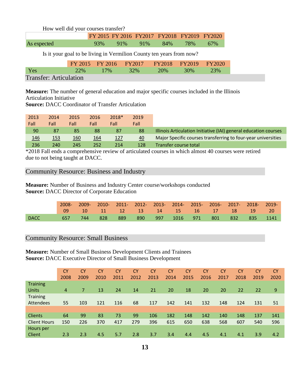How well did your courses transfer?

|             | FY 2015 FY 2016 FY 2017 FY 2018 FY 2019 FY 2020 |                     |  |         |
|-------------|-------------------------------------------------|---------------------|--|---------|
| As expected |                                                 | 93% 91% 91% 84% 78% |  | $-67\%$ |

Is it your goal to be living in Vermilion County ten years from now?

|                               |  | FY 2015 FY 2016 FY 2017 FY 2018 FY 2019 FY 2020 |  |
|-------------------------------|--|-------------------------------------------------|--|
| Yes                           |  | 22\% 17\% 32\% 20\% 30\% 23\%                   |  |
| <b>Transfer: Articulation</b> |  |                                                 |  |

**Measure:** The number of general education and major specific courses included in the Illinois Articulation Initiative

**Source:** DACC Coordinator of Transfer Articulation

| 2013       | 2014 | 2015 | 2016 | 2018* | 2019 |                                                                  |
|------------|------|------|------|-------|------|------------------------------------------------------------------|
| Fall       | Fall | Fall | Fall | Fall  | Fall |                                                                  |
| 90         | 87   | 85   | 88   | 87    | 88   | Illinois Articulation Initiative (IAI) general education courses |
| <u>146</u> | 153  | 160  | 164  | 127   | 40   | Major Specific courses transferring to four-year universities    |
| 236        | 240  | 245  | 252  | 214   | 128  | Transfer course total                                            |

\*2018 Fall ends a comprehensive review of articulated courses in which almost 40 courses were retired due to not being taught at DACC.

### Community Resource: Business and Industry

**Measure:** Number of Business and Industry Center course/workshops conducted **Source:** DACC Director of Corporate Education

|             | 2008- |      |     |     |      | 2009- 2010- 2011- 2012- 2013- 2014- 2015- 2016- 2017- 2018- 2019- |  |         |          |  |
|-------------|-------|------|-----|-----|------|-------------------------------------------------------------------|--|---------|----------|--|
|             |       |      |     |     |      | 10 11 12 13 14 15 16 17 18 19 20                                  |  |         |          |  |
| <b>DACC</b> |       | 744. | 828 | 889 | -890 | 997 1016 971                                                      |  | 801 832 | 835 1141 |  |

### Community Resource: Small Business

**Measure:** Number of Small Business Development Clients and Trainees **Source:** DACC Executive Director of Small Business Development

|                     | CY <sub>1</sub> | <b>CY</b> | CY   | <b>CY</b> | <b>CY</b> | <b>CY</b> | <b>CY</b> | <b>CY</b> | <b>CY</b> | <b>CY</b> | <b>CY</b> | <b>CY</b> | <b>CY</b> |
|---------------------|-----------------|-----------|------|-----------|-----------|-----------|-----------|-----------|-----------|-----------|-----------|-----------|-----------|
|                     | 2008            | 2009      | 2010 | 2011      | 2012      | 2013      | 2014      | 2015      | 2016      | 2017      | 2018      | 2019      | 2020      |
| <b>Training</b>     |                 |           |      |           |           |           |           |           |           |           |           |           |           |
| <b>Units</b>        | $\overline{4}$  | 7         | 13   | 24        | 14        | 21        | 20        | 18        | 20        | 20        | 22        | 22        | 9         |
| <b>Training</b>     |                 |           |      |           |           |           |           |           |           |           |           |           |           |
| <b>Attendees</b>    | 55              | 103       | 121  | 116       | 68        | 117       | 142       | 141       | 132       | 148       | 124       | 131       | 51        |
|                     |                 |           |      |           |           |           |           |           |           |           |           |           |           |
| <b>Clients</b>      | 64              | 99        | 83   | 73        | 99        | 106       | 182       | 148       | 142       | 140       | 148       | 137       | 141       |
| <b>Client Hours</b> | 150             | 226       | 370  | 417       | 279       | 396       | 615       | 650       | 638       | 568       | 607       | 540       | 596       |
| Hours per           |                 |           |      |           |           |           |           |           |           |           |           |           |           |
| Client              | 2.3             | 2.3       | 4.5  | 5.7       | 2.8       | 3.7       | 3.4       | 4.4       | 4.5       | 4.1       | 4.1       | 3.9       | 4.2       |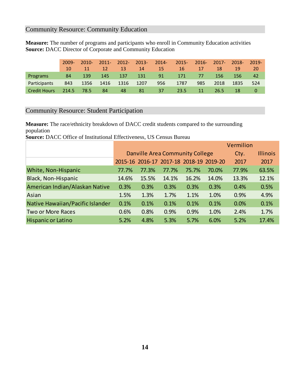### Community Resource: Community Education

**Measure:** The number of programs and participants who enroll in Community Education activities **Source:** DACC Director of Corporate and Community Education

|                     | $2009 -$        | $2010 -$ | $2011 -$        | $2012 -$ | $2013 -$ | $2014 -$ | $2015 -$       | $2016 -$ | $2017 -$ | 2018- | $2019 -$ |
|---------------------|-----------------|----------|-----------------|----------|----------|----------|----------------|----------|----------|-------|----------|
|                     | 10 <sup>1</sup> | 11       | 12 <sub>l</sub> | 13       | 14       | 15       | 16             | 17       | 18       | 19    | 20       |
| <b>Programs</b>     | 84              | 139      | 145             | 137      | 131      | 91       | 171            | 77       | 156      | 156   | 42       |
| <b>Participants</b> | 843             | 1356     | 1416            | 1316     | 1207     | 956      | 1787           | 985      | 2018     | 1835  | 524      |
| <b>Credit Hours</b> | 214.5           | 78.5     | 84              | 48       | 81       | 37       | $23.5^{\circ}$ | 11       | 26.5     | 18    |          |

### Community Resource: Student Participation

**Measure:** The race/ethnicity breakdown of DACC credit students compared to the surrounding population

**Source:** DACC Office of Institutional Effectiveness, US Census Bureau

|                                  |                                 |       |                                         |       |       | Vermilion |                 |
|----------------------------------|---------------------------------|-------|-----------------------------------------|-------|-------|-----------|-----------------|
|                                  | Danville Area Community College |       |                                         |       |       | Cty.      | <b>Illinois</b> |
|                                  |                                 |       | 2015-16 2016-17 2017-18 2018-19 2019-20 |       |       | 2017      | 2017            |
| White, Non-Hispanic              | 77.7%                           | 77.3% | 77.7%                                   | 75.7% | 70.0% | 77.9%     | 63.5%           |
| <b>Black, Non-Hispanic</b>       | 14.6%                           | 15.5% | 14.1%                                   | 16.2% | 14.0% | 13.3%     | 12.1%           |
| American Indian/Alaskan Native   | 0.3%                            | 0.3%  | 0.3%                                    | 0.3%  | 0.3%  | 0.4%      | 0.5%            |
| Asian                            | 1.5%                            | 1.3%  | 1.7%                                    | 1.1%  | 1.0%  | 0.9%      | 4.9%            |
| Native Hawaiian/Pacific Islander | 0.1%                            | 0.1%  | 0.1%                                    | 0.1%  | 0.1%  | 0.0%      | 0.1%            |
| <b>Two or More Races</b>         | 0.6%                            | 0.8%  | 0.9%                                    | 0.9%  | 1.0%  | 2.4%      | 1.7%            |
| <b>Hispanic or Latino</b>        | 5.2%                            | 4.8%  | 5.3%                                    | 5.7%  | 6.0%  | 5.2%      | 17.4%           |